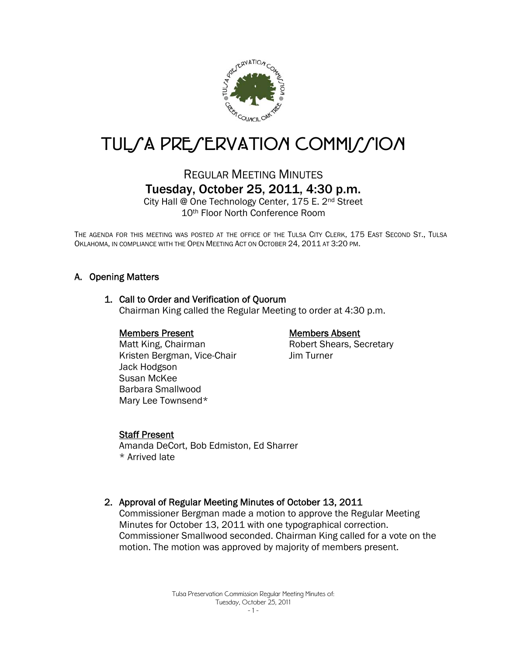

# TUL/A PRE/ERVATION COMMI//ION

# REGULAR MEETING MINUTES Tuesday, October 25, 2011, 4:30 p.m.

City Hall @ One Technology Center, 175 E. 2nd Street 10th Floor North Conference Room

THE AGENDA FOR THIS MEETING WAS POSTED AT THE OFFICE OF THE TULSA CITY CLERK, 175 EAST SECOND ST., TULSA OKLAHOMA, IN COMPLIANCE WITH THE OPEN MEETING ACT ON OCTOBER 24, 2011 AT 3:20 PM.

# A. Opening Matters

#### 1. Call to Order and Verification of Quorum

Chairman King called the Regular Meeting to order at 4:30 p.m.

#### Members Present

# Members Absent

Robert Shears, Secretary Jim Turner

 Matt King, Chairman Kristen Bergman, Vice-Chair Jack Hodgson Susan McKee Barbara Smallwood Mary Lee Townsend\*

#### Staff Present

Amanda DeCort, Bob Edmiston, Ed Sharrer \* Arrived late

# 2. Approval of Regular Meeting Minutes of October 13, 2011

Commissioner Bergman made a motion to approve the Regular Meeting Minutes for October 13, 2011 with one typographical correction. Commissioner Smallwood seconded. Chairman King called for a vote on the motion. The motion was approved by majority of members present.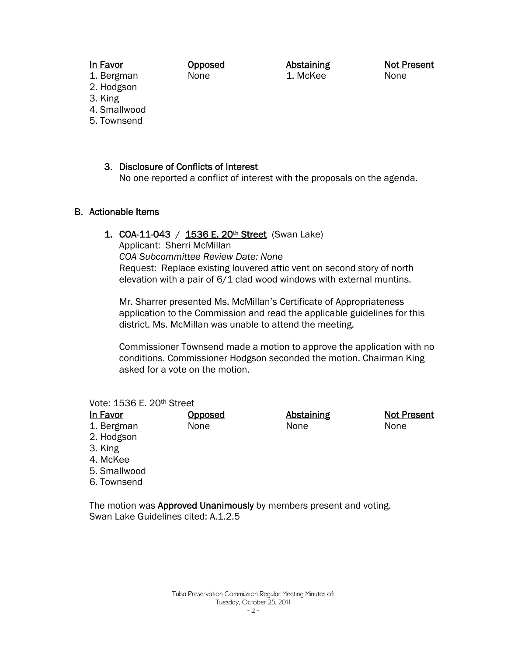#### In Favor

Opposed None

Abstaining 1. McKee

Not Present None

- 1. Bergman 2. Hodgson
- 3. King
- 4. Smallwood
- 5. Townsend

# 3. Disclosure of Conflicts of Interest

No one reported a conflict of interest with the proposals on the agenda.

#### B. Actionable Items

#### 1. COA-11-043 /  $1536 E. 20<sup>th</sup> Street (Swan Lake)$

Applicant: Sherri McMillan

*COA Subcommittee Review Date: None*  Request: Replace existing louvered attic vent on second story of north elevation with a pair of 6/1 clad wood windows with external muntins.

Mr. Sharrer presented Ms. McMillan's Certificate of Appropriateness application to the Commission and read the applicable guidelines for this district. Ms. McMillan was unable to attend the meeting.

Commissioner Townsend made a motion to approve the application with no conditions. Commissioner Hodgson seconded the motion. Chairman King asked for a vote on the motion.

#### Vote: 1536 E. 20th Street

| In Favor     | <u>Opposed</u> | <b>Abstaining</b> | <b>Not Present</b> |
|--------------|----------------|-------------------|--------------------|
| 1. Bergman   | None           | None              | None               |
| 2. Hodgson   |                |                   |                    |
| 3. King      |                |                   |                    |
| 4. McKee     |                |                   |                    |
| 5. Smallwood |                |                   |                    |
| 6. Townsend  |                |                   |                    |

The motion was Approved Unanimously by members present and voting. Swan Lake Guidelines cited: A.1.2.5